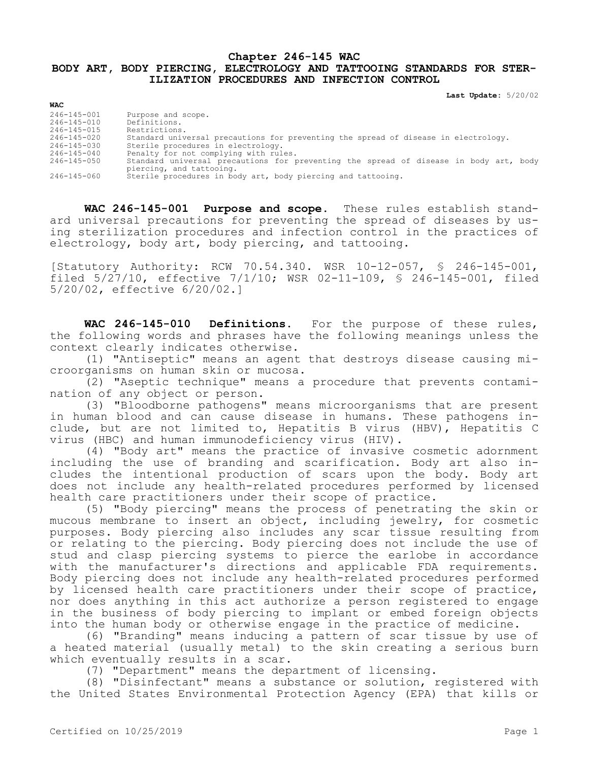## **Chapter 246-145 WAC BODY ART, BODY PIERCING, ELECTROLOGY AND TATTOOING STANDARDS FOR STER-ILIZATION PROCEDURES AND INFECTION CONTROL**

**Last Update:** 5/20/02

| <b>WAC</b>        |                                                                                                                   |
|-------------------|-------------------------------------------------------------------------------------------------------------------|
| $246 - 145 - 001$ | Purpose and scope.                                                                                                |
| $246 - 145 - 010$ | Definitions.                                                                                                      |
| 246-145-015       | Restrictions.                                                                                                     |
| $246 - 145 - 020$ | Standard universal precautions for preventing the spread of disease in electrology.                               |
| 246-145-030       | Sterile procedures in electrology.                                                                                |
| $246 - 145 - 040$ | Penalty for not complying with rules.                                                                             |
| $246 - 145 - 050$ | Standard universal precautions for preventing the spread of disease in body art, body<br>piercing, and tattooing. |
| 246-145-060       | Sterile procedures in body art, body piercing and tattooing.                                                      |

**WAC 246-145-001 Purpose and scope.** These rules establish standard universal precautions for preventing the spread of diseases by using sterilization procedures and infection control in the practices of electrology, body art, body piercing, and tattooing.

[Statutory Authority: RCW 70.54.340. WSR 10-12-057, § 246-145-001, filed 5/27/10, effective 7/1/10; WSR 02-11-109, § 246-145-001, filed 5/20/02, effective 6/20/02.]

**WAC 246-145-010 Definitions.** For the purpose of these rules, the following words and phrases have the following meanings unless the context clearly indicates otherwise.

(1) "Antiseptic" means an agent that destroys disease causing microorganisms on human skin or mucosa.

(2) "Aseptic technique" means a procedure that prevents contamination of any object or person.

(3) "Bloodborne pathogens" means microorganisms that are present in human blood and can cause disease in humans. These pathogens include, but are not limited to, Hepatitis B virus (HBV), Hepatitis C virus (HBC) and human immunodeficiency virus (HIV).

(4) "Body art" means the practice of invasive cosmetic adornment including the use of branding and scarification. Body art also includes the intentional production of scars upon the body. Body art does not include any health-related procedures performed by licensed health care practitioners under their scope of practice.

(5) "Body piercing" means the process of penetrating the skin or mucous membrane to insert an object, including jewelry, for cosmetic purposes. Body piercing also includes any scar tissue resulting from or relating to the piercing. Body piercing does not include the use of stud and clasp piercing systems to pierce the earlobe in accordance with the manufacturer's directions and applicable FDA requirements. Body piercing does not include any health-related procedures performed by licensed health care practitioners under their scope of practice, nor does anything in this act authorize a person registered to engage in the business of body piercing to implant or embed foreign objects into the human body or otherwise engage in the practice of medicine.

(6) "Branding" means inducing a pattern of scar tissue by use of a heated material (usually metal) to the skin creating a serious burn which eventually results in a scar.

(7) "Department" means the department of licensing.

(8) "Disinfectant" means a substance or solution, registered with the United States Environmental Protection Agency (EPA) that kills or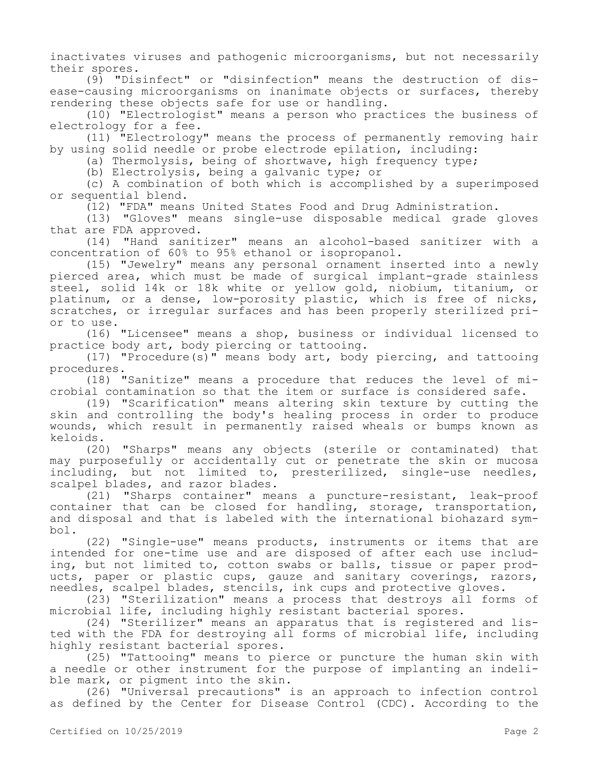inactivates viruses and pathogenic microorganisms, but not necessarily their spores.

(9) "Disinfect" or "disinfection" means the destruction of disease-causing microorganisms on inanimate objects or surfaces, thereby rendering these objects safe for use or handling.

(10) "Electrologist" means a person who practices the business of electrology for a fee.

(11) "Electrology" means the process of permanently removing hair by using solid needle or probe electrode epilation, including:

(a) Thermolysis, being of shortwave, high frequency type;

(b) Electrolysis, being a galvanic type; or

(c) A combination of both which is accomplished by a superimposed or sequential blend.

(12) "FDA" means United States Food and Drug Administration.

(13) "Gloves" means single-use disposable medical grade gloves that are FDA approved.

(14) "Hand sanitizer" means an alcohol-based sanitizer with a concentration of 60% to 95% ethanol or isopropanol.

(15) "Jewelry" means any personal ornament inserted into a newly pierced area, which must be made of surgical implant-grade stainless steel, solid 14k or 18k white or yellow gold, niobium, titanium, or platinum, or a dense, low-porosity plastic, which is free of nicks, scratches, or irregular surfaces and has been properly sterilized prior to use.

(16) "Licensee" means a shop, business or individual licensed to practice body art, body piercing or tattooing.

(17) "Procedure(s)" means body art, body piercing, and tattooing procedures.

(18) "Sanitize" means a procedure that reduces the level of microbial contamination so that the item or surface is considered safe.

(19) "Scarification" means altering skin texture by cutting the skin and controlling the body's healing process in order to produce wounds, which result in permanently raised wheals or bumps known as keloids.

(20) "Sharps" means any objects (sterile or contaminated) that may purposefully or accidentally cut or penetrate the skin or mucosa including, but not limited to, presterilized, single-use needles, scalpel blades, and razor blades.

(21) "Sharps container" means a puncture-resistant, leak-proof container that can be closed for handling, storage, transportation, and disposal and that is labeled with the international biohazard symbol.

(22) "Single-use" means products, instruments or items that are intended for one-time use and are disposed of after each use including, but not limited to, cotton swabs or balls, tissue or paper products, paper or plastic cups, gauze and sanitary coverings, razors, needles, scalpel blades, stencils, ink cups and protective gloves.

(23) "Sterilization" means a process that destroys all forms of microbial life, including highly resistant bacterial spores.

(24) "Sterilizer" means an apparatus that is registered and listed with the FDA for destroying all forms of microbial life, including highly resistant bacterial spores.

(25) "Tattooing" means to pierce or puncture the human skin with a needle or other instrument for the purpose of implanting an indelible mark, or pigment into the skin.

(26) "Universal precautions" is an approach to infection control as defined by the Center for Disease Control (CDC). According to the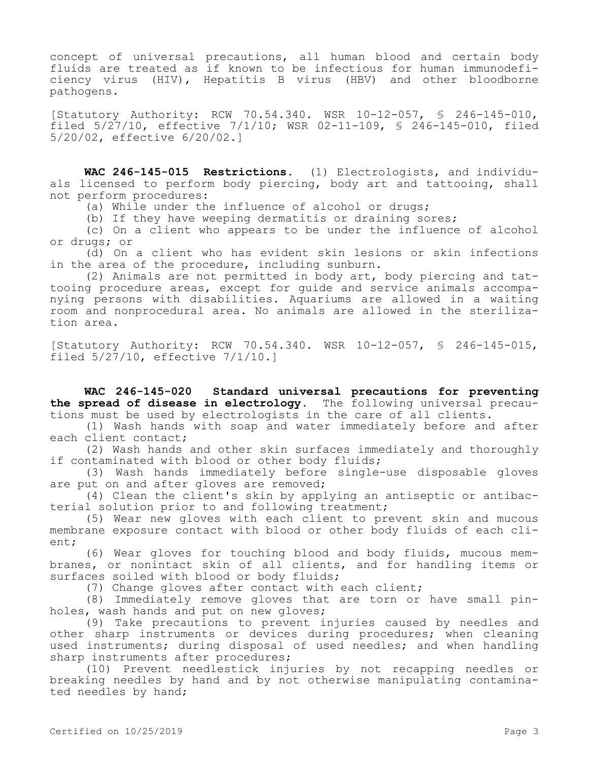concept of universal precautions, all human blood and certain body fluids are treated as if known to be infectious for human immunodeficiency virus (HIV), Hepatitis B virus (HBV) and other bloodborne pathogens.

[Statutory Authority: RCW 70.54.340. WSR 10-12-057, § 246-145-010, filed 5/27/10, effective 7/1/10; WSR 02-11-109, § 246-145-010, filed 5/20/02, effective 6/20/02.]

**WAC 246-145-015 Restrictions.** (1) Electrologists, and individuals licensed to perform body piercing, body art and tattooing, shall not perform procedures:

(a) While under the influence of alcohol or drugs;

(b) If they have weeping dermatitis or draining sores;

(c) On a client who appears to be under the influence of alcohol or drugs; or

(d) On a client who has evident skin lesions or skin infections in the area of the procedure, including sunburn.

(2) Animals are not permitted in body art, body piercing and tattooing procedure areas, except for guide and service animals accompanying persons with disabilities. Aquariums are allowed in a waiting room and nonprocedural area. No animals are allowed in the sterilization area.

[Statutory Authority: RCW 70.54.340. WSR 10-12-057, § 246-145-015, filed 5/27/10, effective 7/1/10.]

**WAC 246-145-020 Standard universal precautions for preventing the spread of disease in electrology.** The following universal precautions must be used by electrologists in the care of all clients.

(1) Wash hands with soap and water immediately before and after each client contact;

(2) Wash hands and other skin surfaces immediately and thoroughly if contaminated with blood or other body fluids;

(3) Wash hands immediately before single-use disposable gloves are put on and after gloves are removed;

(4) Clean the client's skin by applying an antiseptic or antibacterial solution prior to and following treatment;

(5) Wear new gloves with each client to prevent skin and mucous membrane exposure contact with blood or other body fluids of each client;

(6) Wear gloves for touching blood and body fluids, mucous membranes, or nonintact skin of all clients, and for handling items or surfaces soiled with blood or body fluids;

(7) Change gloves after contact with each client;

(8) Immediately remove gloves that are torn or have small pinholes, wash hands and put on new gloves;

(9) Take precautions to prevent injuries caused by needles and other sharp instruments or devices during procedures; when cleaning used instruments; during disposal of used needles; and when handling sharp instruments after procedures;

(10) Prevent needlestick injuries by not recapping needles or breaking needles by hand and by not otherwise manipulating contaminated needles by hand;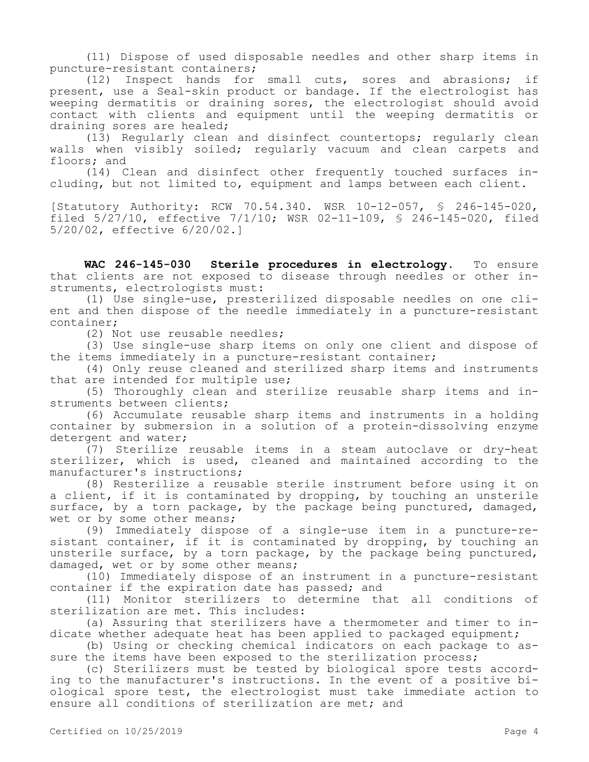(11) Dispose of used disposable needles and other sharp items in puncture-resistant containers;

(12) Inspect hands for small cuts, sores and abrasions; if present, use a Seal-skin product or bandage. If the electrologist has weeping dermatitis or draining sores, the electrologist should avoid contact with clients and equipment until the weeping dermatitis or draining sores are healed;

(13) Regularly clean and disinfect countertops; regularly clean walls when visibly soiled; regularly vacuum and clean carpets and floors; and

(14) Clean and disinfect other frequently touched surfaces including, but not limited to, equipment and lamps between each client.

[Statutory Authority: RCW 70.54.340. WSR 10-12-057, § 246-145-020, filed 5/27/10, effective 7/1/10; WSR 02-11-109, § 246-145-020, filed 5/20/02, effective 6/20/02.]

**WAC 246-145-030 Sterile procedures in electrology.** To ensure that clients are not exposed to disease through needles or other instruments, electrologists must:

(1) Use single-use, presterilized disposable needles on one client and then dispose of the needle immediately in a puncture-resistant container;

(2) Not use reusable needles;

(3) Use single-use sharp items on only one client and dispose of the items immediately in a puncture-resistant container;

(4) Only reuse cleaned and sterilized sharp items and instruments that are intended for multiple use;

(5) Thoroughly clean and sterilize reusable sharp items and instruments between clients;

(6) Accumulate reusable sharp items and instruments in a holding container by submersion in a solution of a protein-dissolving enzyme detergent and water;

(7) Sterilize reusable items in a steam autoclave or dry-heat sterilizer, which is used, cleaned and maintained according to the manufacturer's instructions;

(8) Resterilize a reusable sterile instrument before using it on a client, if it is contaminated by dropping, by touching an unsterile surface, by a torn package, by the package being punctured, damaged, wet or by some other means;

(9) Immediately dispose of a single-use item in a puncture-resistant container, if it is contaminated by dropping, by touching an unsterile surface, by a torn package, by the package being punctured, damaged, wet or by some other means;

(10) Immediately dispose of an instrument in a puncture-resistant container if the expiration date has passed; and

(11) Monitor sterilizers to determine that all conditions of sterilization are met. This includes:

(a) Assuring that sterilizers have a thermometer and timer to indicate whether adequate heat has been applied to packaged equipment;

(b) Using or checking chemical indicators on each package to assure the items have been exposed to the sterilization process;

(c) Sterilizers must be tested by biological spore tests according to the manufacturer's instructions. In the event of a positive biological spore test, the electrologist must take immediate action to ensure all conditions of sterilization are met; and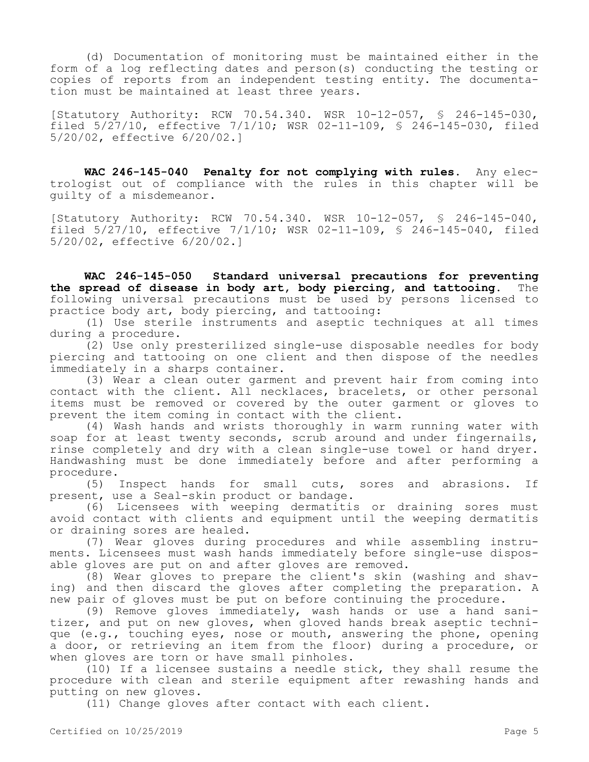(d) Documentation of monitoring must be maintained either in the form of a log reflecting dates and person(s) conducting the testing or copies of reports from an independent testing entity. The documentation must be maintained at least three years.

[Statutory Authority: RCW 70.54.340. WSR 10-12-057, § 246-145-030, filed 5/27/10, effective 7/1/10; WSR 02-11-109, § 246-145-030, filed 5/20/02, effective 6/20/02.]

**WAC 246-145-040 Penalty for not complying with rules.** Any electrologist out of compliance with the rules in this chapter will be guilty of a misdemeanor.

[Statutory Authority: RCW 70.54.340. WSR 10-12-057, § 246-145-040, filed 5/27/10, effective 7/1/10; WSR 02-11-109, § 246-145-040, filed 5/20/02, effective 6/20/02.]

**WAC 246-145-050 Standard universal precautions for preventing the spread of disease in body art, body piercing, and tattooing.** The following universal precautions must be used by persons licensed to practice body art, body piercing, and tattooing:

(1) Use sterile instruments and aseptic techniques at all times during a procedure.

(2) Use only presterilized single-use disposable needles for body piercing and tattooing on one client and then dispose of the needles immediately in a sharps container.

(3) Wear a clean outer garment and prevent hair from coming into contact with the client. All necklaces, bracelets, or other personal items must be removed or covered by the outer garment or gloves to prevent the item coming in contact with the client.

(4) Wash hands and wrists thoroughly in warm running water with soap for at least twenty seconds, scrub around and under fingernails, rinse completely and dry with a clean single-use towel or hand dryer. Handwashing must be done immediately before and after performing a procedure.

(5) Inspect hands for small cuts, sores and abrasions. If present, use a Seal-skin product or bandage.

(6) Licensees with weeping dermatitis or draining sores must avoid contact with clients and equipment until the weeping dermatitis or draining sores are healed.

(7) Wear gloves during procedures and while assembling instruments. Licensees must wash hands immediately before single-use disposable gloves are put on and after gloves are removed.

(8) Wear gloves to prepare the client's skin (washing and shaving) and then discard the gloves after completing the preparation. A new pair of gloves must be put on before continuing the procedure.

(9) Remove gloves immediately, wash hands or use a hand sanitizer, and put on new gloves, when gloved hands break aseptic technique (e.g., touching eyes, nose or mouth, answering the phone, opening a door, or retrieving an item from the floor) during a procedure, or when gloves are torn or have small pinholes.

(10) If a licensee sustains a needle stick, they shall resume the procedure with clean and sterile equipment after rewashing hands and putting on new gloves.

(11) Change gloves after contact with each client.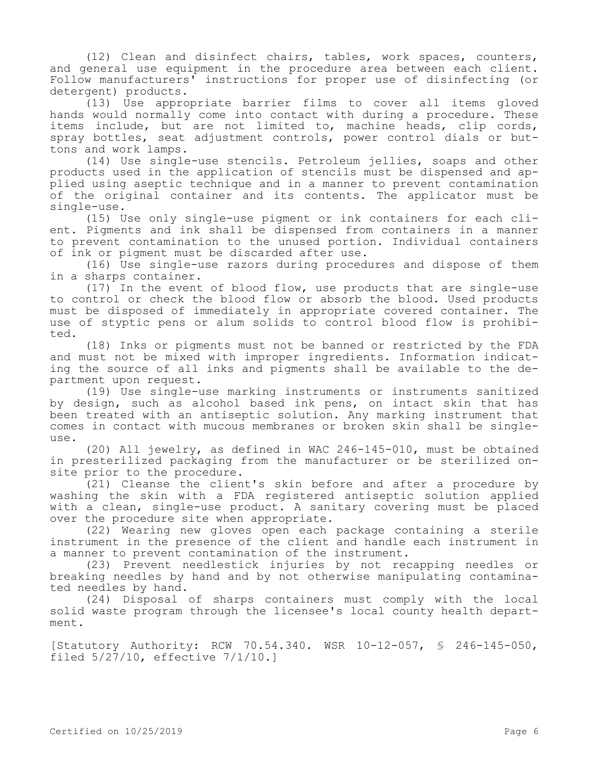(12) Clean and disinfect chairs, tables, work spaces, counters, and general use equipment in the procedure area between each client. Follow manufacturers' instructions for proper use of disinfecting (or detergent) products.

(13) Use appropriate barrier films to cover all items gloved hands would normally come into contact with during a procedure. These items include, but are not limited to, machine heads, clip cords, spray bottles, seat adjustment controls, power control dials or buttons and work lamps.

(14) Use single-use stencils. Petroleum jellies, soaps and other products used in the application of stencils must be dispensed and applied using aseptic technique and in a manner to prevent contamination of the original container and its contents. The applicator must be single-use.

(15) Use only single-use pigment or ink containers for each client. Pigments and ink shall be dispensed from containers in a manner to prevent contamination to the unused portion. Individual containers of ink or pigment must be discarded after use.

(16) Use single-use razors during procedures and dispose of them in a sharps container.

(17) In the event of blood flow, use products that are single-use to control or check the blood flow or absorb the blood. Used products must be disposed of immediately in appropriate covered container. The use of styptic pens or alum solids to control blood flow is prohibited.

(18) Inks or pigments must not be banned or restricted by the FDA and must not be mixed with improper ingredients. Information indicating the source of all inks and pigments shall be available to the department upon request.

(19) Use single-use marking instruments or instruments sanitized by design, such as alcohol based ink pens, on intact skin that has been treated with an antiseptic solution. Any marking instrument that comes in contact with mucous membranes or broken skin shall be single- $11S^{\alpha}$ .

(20) All jewelry, as defined in WAC 246-145-010, must be obtained in presterilized packaging from the manufacturer or be sterilized onsite prior to the procedure.

(21) Cleanse the client's skin before and after a procedure by washing the skin with a FDA registered antiseptic solution applied with a clean, single-use product. A sanitary covering must be placed over the procedure site when appropriate.

(22) Wearing new gloves open each package containing a sterile instrument in the presence of the client and handle each instrument in a manner to prevent contamination of the instrument.

(23) Prevent needlestick injuries by not recapping needles or breaking needles by hand and by not otherwise manipulating contaminated needles by hand.

(24) Disposal of sharps containers must comply with the local solid waste program through the licensee's local county health department.

[Statutory Authority: RCW 70.54.340. WSR 10-12-057, § 246-145-050, filed 5/27/10, effective 7/1/10.]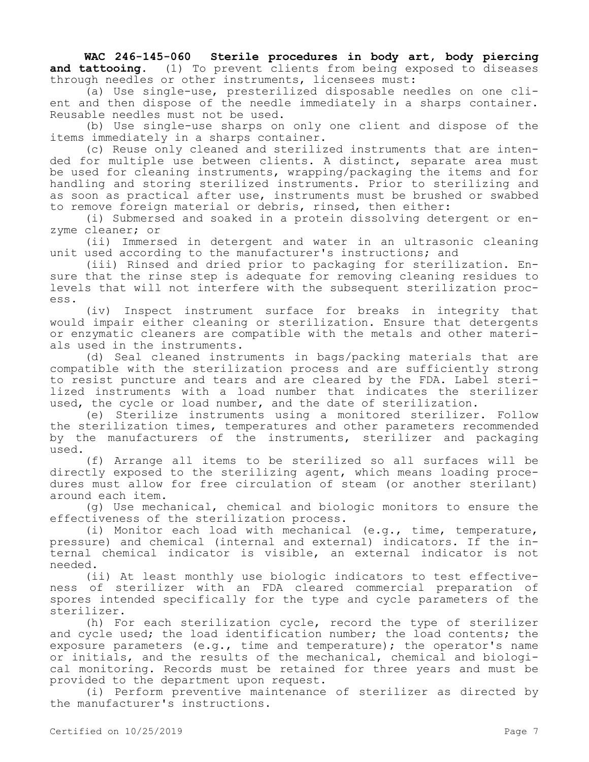**WAC 246-145-060 Sterile procedures in body art, body piercing and tattooing.** (1) To prevent clients from being exposed to diseases through needles or other instruments, licensees must:

(a) Use single-use, presterilized disposable needles on one client and then dispose of the needle immediately in a sharps container. Reusable needles must not be used.

(b) Use single-use sharps on only one client and dispose of the items immediately in a sharps container.

(c) Reuse only cleaned and sterilized instruments that are intended for multiple use between clients. A distinct, separate area must be used for cleaning instruments, wrapping/packaging the items and for handling and storing sterilized instruments. Prior to sterilizing and as soon as practical after use, instruments must be brushed or swabbed to remove foreign material or debris, rinsed, then either:

(i) Submersed and soaked in a protein dissolving detergent or enzyme cleaner; or

(ii) Immersed in detergent and water in an ultrasonic cleaning unit used according to the manufacturer's instructions; and

(iii) Rinsed and dried prior to packaging for sterilization. Ensure that the rinse step is adequate for removing cleaning residues to levels that will not interfere with the subsequent sterilization process.

(iv) Inspect instrument surface for breaks in integrity that would impair either cleaning or sterilization. Ensure that detergents or enzymatic cleaners are compatible with the metals and other materials used in the instruments.

(d) Seal cleaned instruments in bags/packing materials that are compatible with the sterilization process and are sufficiently strong to resist puncture and tears and are cleared by the FDA. Label sterilized instruments with a load number that indicates the sterilizer used, the cycle or load number, and the date of sterilization.

(e) Sterilize instruments using a monitored sterilizer. Follow the sterilization times, temperatures and other parameters recommended by the manufacturers of the instruments, sterilizer and packaging used.

(f) Arrange all items to be sterilized so all surfaces will be directly exposed to the sterilizing agent, which means loading procedures must allow for free circulation of steam (or another sterilant) around each item.

(g) Use mechanical, chemical and biologic monitors to ensure the effectiveness of the sterilization process.

(i) Monitor each load with mechanical (e.g., time, temperature, pressure) and chemical (internal and external) indicators. If the internal chemical indicator is visible, an external indicator is not needed.

(ii) At least monthly use biologic indicators to test effectiveness of sterilizer with an FDA cleared commercial preparation of spores intended specifically for the type and cycle parameters of the sterilizer.

(h) For each sterilization cycle, record the type of sterilizer and cycle used; the load identification number; the load contents; the exposure parameters (e.g., time and temperature); the operator's name or initials, and the results of the mechanical, chemical and biological monitoring. Records must be retained for three years and must be provided to the department upon request.

(i) Perform preventive maintenance of sterilizer as directed by the manufacturer's instructions.